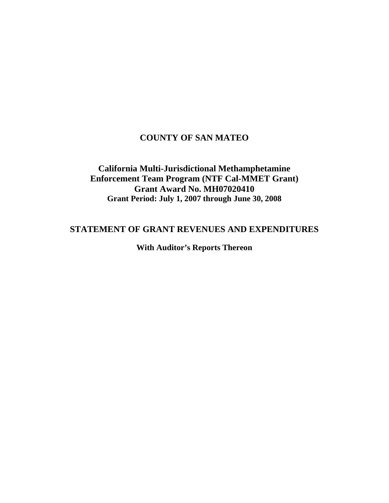# **COUNTY OF SAN MATEO**

# **California Multi-Jurisdictional Methamphetamine Enforcement Team Program (NTF Cal-MMET Grant) Grant Award No. MH07020410 Grant Period: July 1, 2007 through June 30, 2008**

# **STATEMENT OF GRANT REVENUES AND EXPENDITURES**

**With Auditor's Reports Thereon**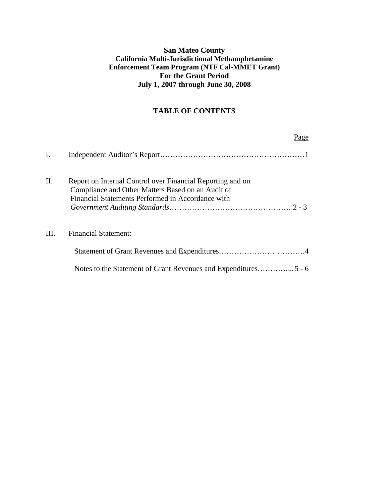## **San Mateo County California Multi-Jurisdictional Methamphetamine Enforcement Team Program (NTF Cal-MMET Grant) For the Grant Period July 1, 2007 through June 30, 2008**

## **TABLE OF CONTENTS**

|     | Page                                                                                                                                                                 |
|-----|----------------------------------------------------------------------------------------------------------------------------------------------------------------------|
| Ι.  |                                                                                                                                                                      |
| II. | Report on Internal Control over Financial Reporting and on<br>Compliance and Other Matters Based on an Audit of<br>Financial Statements Performed in Accordance with |
| HI. | <b>Financial Statement:</b>                                                                                                                                          |
|     |                                                                                                                                                                      |
|     |                                                                                                                                                                      |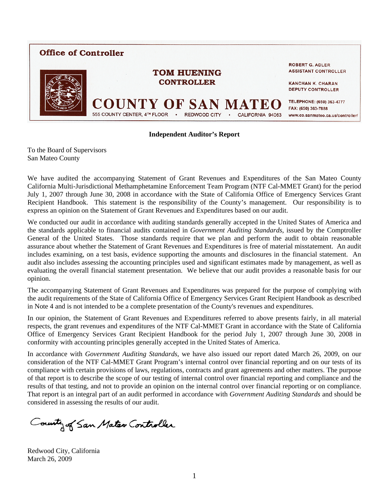

#### **Independent Auditor's Report**

To the Board of Supervisors San Mateo County

We have audited the accompanying Statement of Grant Revenues and Expenditures of the San Mateo County California Multi-Jurisdictional Methamphetamine Enforcement Team Program (NTF Cal-MMET Grant) for the period July 1, 2007 through June 30, 2008 in accordance with the State of California Office of Emergency Services Grant Recipient Handbook. This statement is the responsibility of the County's management. Our responsibility is to express an opinion on the Statement of Grant Revenues and Expenditures based on our audit.

We conducted our audit in accordance with auditing standards generally accepted in the United States of America and the standards applicable to financial audits contained in *Government Auditing Standards*, issued by the Comptroller General of the United States. Those standards require that we plan and perform the audit to obtain reasonable assurance about whether the Statement of Grant Revenues and Expenditures is free of material misstatement. An audit includes examining, on a test basis, evidence supporting the amounts and disclosures in the financial statement. An audit also includes assessing the accounting principles used and significant estimates made by management, as well as evaluating the overall financial statement presentation. We believe that our audit provides a reasonable basis for our opinion.

The accompanying Statement of Grant Revenues and Expenditures was prepared for the purpose of complying with the audit requirements of the State of California Office of Emergency Services Grant Recipient Handbook as described in Note 4 and is not intended to be a complete presentation of the County's revenues and expenditures.

In our opinion, the Statement of Grant Revenues and Expenditures referred to above presents fairly, in all material respects, the grant revenues and expenditures of the NTF Cal-MMET Grant in accordance with the State of California Office of Emergency Services Grant Recipient Handbook for the period July 1, 2007 through June 30, 2008 in conformity with accounting principles generally accepted in the United States of America.

In accordance with *Government Auditing Standards*, we have also issued our report dated March 26, 2009, on our consideration of the NTF Cal-MMET Grant Program's internal control over financial reporting and on our tests of its compliance with certain provisions of laws, regulations, contracts and grant agreements and other matters. The purpose of that report is to describe the scope of our testing of internal control over financial reporting and compliance and the results of that testing, and not to provide an opinion on the internal control over financial reporting or on compliance. That report is an integral part of an audit performed in accordance with *Government Auditing Standards* and should be considered in assessing the results of our audit.

County of San Mateo Controller

Redwood City, California March 26, 2009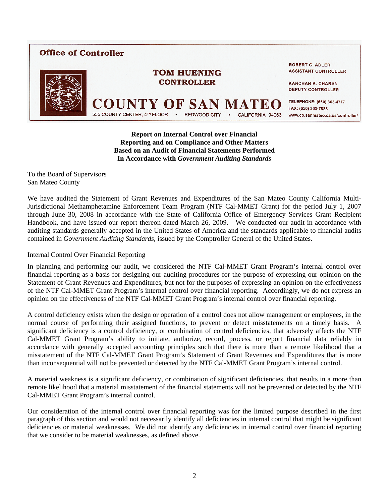# **Office of Controller**



**ROBERT G. ADLER ASSISTANT CONTROLLER** 

**KANCHAN K. CHARAN DEPUTY CONTROLLER** 

555 COUNTY CENTER, 4TH FLOOR **REDWOOD CITY** CALIFORNIA 94063

TELEPHONE: (650) 363-4777 FAX: (650) 363-7888 www.co.sanmateo.ca.us/controller/

**Report on Internal Control over Financial Reporting and on Compliance and Other Matters Based on an Audit of Financial Statements Performed In Accordance with** *Government Auditing Standards* 

**TOM HUENING CONTROLLER** 

To the Board of Supervisors San Mateo County

We have audited the Statement of Grant Revenues and Expenditures of the San Mateo County California Multi-Jurisdictional Methamphetamine Enforcement Team Program (NTF Cal-MMET Grant) for the period July 1, 2007 through June 30, 2008 in accordance with the State of California Office of Emergency Services Grant Recipient Handbook, and have issued our report thereon dated March 26, 2009. We conducted our audit in accordance with auditing standards generally accepted in the United States of America and the standards applicable to financial audits contained in *Government Auditing Standards*, issued by the Comptroller General of the United States.

#### Internal Control Over Financial Reporting

In planning and performing our audit, we considered the NTF Cal-MMET Grant Program's internal control over financial reporting as a basis for designing our auditing procedures for the purpose of expressing our opinion on the Statement of Grant Revenues and Expenditures, but not for the purposes of expressing an opinion on the effectiveness of the NTF Cal-MMET Grant Program's internal control over financial reporting. Accordingly, we do not express an opinion on the effectiveness of the NTF Cal-MMET Grant Program's internal control over financial reporting.

A control deficiency exists when the design or operation of a control does not allow management or employees, in the normal course of performing their assigned functions, to prevent or detect misstatements on a timely basis. A significant deficiency is a control deficiency, or combination of control deficiencies, that adversely affects the NTF Cal-MMET Grant Program's ability to initiate, authorize, record, process, or report financial data reliably in accordance with generally accepted accounting principles such that there is more than a remote likelihood that a misstatement of the NTF Cal-MMET Grant Program's Statement of Grant Revenues and Expenditures that is more than inconsequential will not be prevented or detected by the NTF Cal-MMET Grant Program's internal control.

A material weakness is a significant deficiency, or combination of significant deficiencies, that results in a more than remote likelihood that a material misstatement of the financial statements will not be prevented or detected by the NTF Cal-MMET Grant Program's internal control.

Our consideration of the internal control over financial reporting was for the limited purpose described in the first paragraph of this section and would not necessarily identify all deficiencies in internal control that might be significant deficiencies or material weaknesses. We did not identify any deficiencies in internal control over financial reporting that we consider to be material weaknesses, as defined above.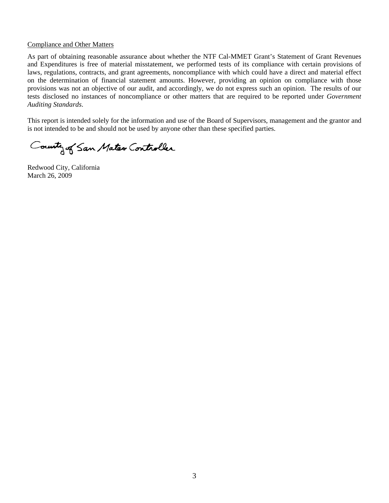#### Compliance and Other Matters

As part of obtaining reasonable assurance about whether the NTF Cal-MMET Grant's Statement of Grant Revenues and Expenditures is free of material misstatement, we performed tests of its compliance with certain provisions of laws, regulations, contracts, and grant agreements, noncompliance with which could have a direct and material effect on the determination of financial statement amounts. However, providing an opinion on compliance with those provisions was not an objective of our audit, and accordingly, we do not express such an opinion. The results of our tests disclosed no instances of noncompliance or other matters that are required to be reported under *Government Auditing Standards*.

This report is intended solely for the information and use of the Board of Supervisors, management and the grantor and is not intended to be and should not be used by anyone other than these specified parties.

County of San Mater Controller

Redwood City, California March 26, 2009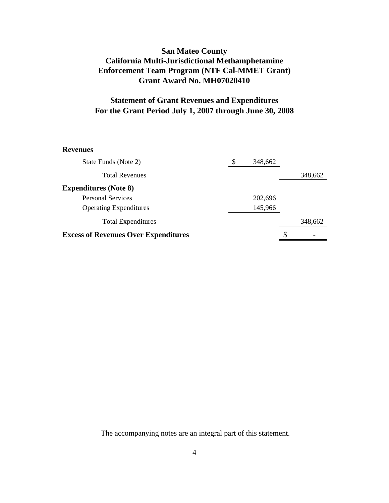# **San Mateo County California Multi-Jurisdictional Methamphetamine Grant Award No. MH07020410 Enforcement Team Program (NTF Cal-MMET Grant)**

# **Statement of Grant Revenues and Expenditures For the Grant Period July 1, 2007 through June 30, 2008**

#### **Revenues**

| State Funds (Note 2)                        | \$ | 348,662 |   |         |
|---------------------------------------------|----|---------|---|---------|
| <b>Total Revenues</b>                       |    |         |   | 348,662 |
| <b>Expenditures (Note 8)</b>                |    |         |   |         |
| <b>Personal Services</b>                    |    | 202,696 |   |         |
| <b>Operating Expenditures</b>               |    | 145,966 |   |         |
| <b>Total Expenditures</b>                   |    |         |   | 348,662 |
| <b>Excess of Revenues Over Expenditures</b> |    |         | S |         |

The accompanying notes are an integral part of this statement.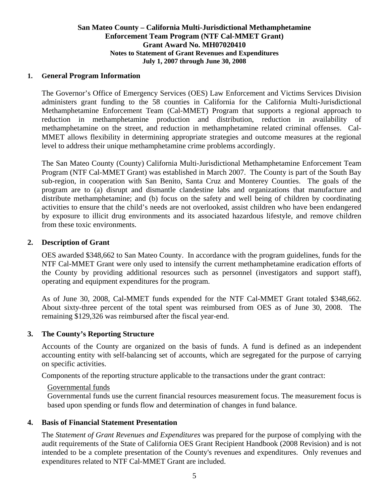### **San Mateo County – California Multi-Jurisdictional Methamphetamine Enforcement Team Program (NTF Cal-MMET Grant) Grant Award No. MH07020410 Notes to Statement of Grant Revenues and Expenditures July 1, 2007 through June 30, 2008**

### **1. General Program Information**

The Governor's Office of Emergency Services (OES) Law Enforcement and Victims Services Division administers grant funding to the 58 counties in California for the California Multi-Jurisdictional Methamphetamine Enforcement Team (Cal-MMET) Program that supports a regional approach to reduction in methamphetamine production and distribution, reduction in availability of methamphetamine on the street, and reduction in methamphetamine related criminal offenses. Cal-MMET allows flexibility in determining appropriate strategies and outcome measures at the regional level to address their unique methamphetamine crime problems accordingly.

The San Mateo County (County) California Multi-Jurisdictional Methamphetamine Enforcement Team Program (NTF Cal-MMET Grant) was established in March 2007. The County is part of the South Bay sub-region, in cooperation with San Benito, Santa Cruz and Monterey Counties. The goals of the program are to (a) disrupt and dismantle clandestine labs and organizations that manufacture and distribute methamphetamine; and (b) focus on the safety and well being of children by coordinating activities to ensure that the child's needs are not overlooked, assist children who have been endangered by exposure to illicit drug environments and its associated hazardous lifestyle, and remove children from these toxic environments.

### **2. Description of Grant**

OES awarded \$348,662 to San Mateo County. In accordance with the program guidelines, funds for the NTF Cal-MMET Grant were only used to intensify the current methamphetamine eradication efforts of the County by providing additional resources such as personnel (investigators and support staff), operating and equipment expenditures for the program.

 As of June 30, 2008, Cal-MMET funds expended for the NTF Cal-MMET Grant totaled \$348,662. About sixty-three percent of the total spent was reimbursed from OES as of June 30, 2008. The remaining \$129,326 was reimbursed after the fiscal year-end.

## **3. The County's Reporting Structure**

Accounts of the County are organized on the basis of funds. A fund is defined as an independent accounting entity with self-balancing set of accounts, which are segregated for the purpose of carrying on specific activities.

Components of the reporting structure applicable to the transactions under the grant contract:

### Governmental funds

 Governmental funds use the current financial resources measurement focus. The measurement focus is based upon spending or funds flow and determination of changes in fund balance.

## **4. Basis of Financial Statement Presentation**

The *Statement of Grant Revenues and Expenditures* was prepared for the purpose of complying with the audit requirements of the State of California OES Grant Recipient Handbook (2008 Revision) and is not intended to be a complete presentation of the County's revenues and expenditures. Only revenues and expenditures related to NTF Cal-MMET Grant are included.